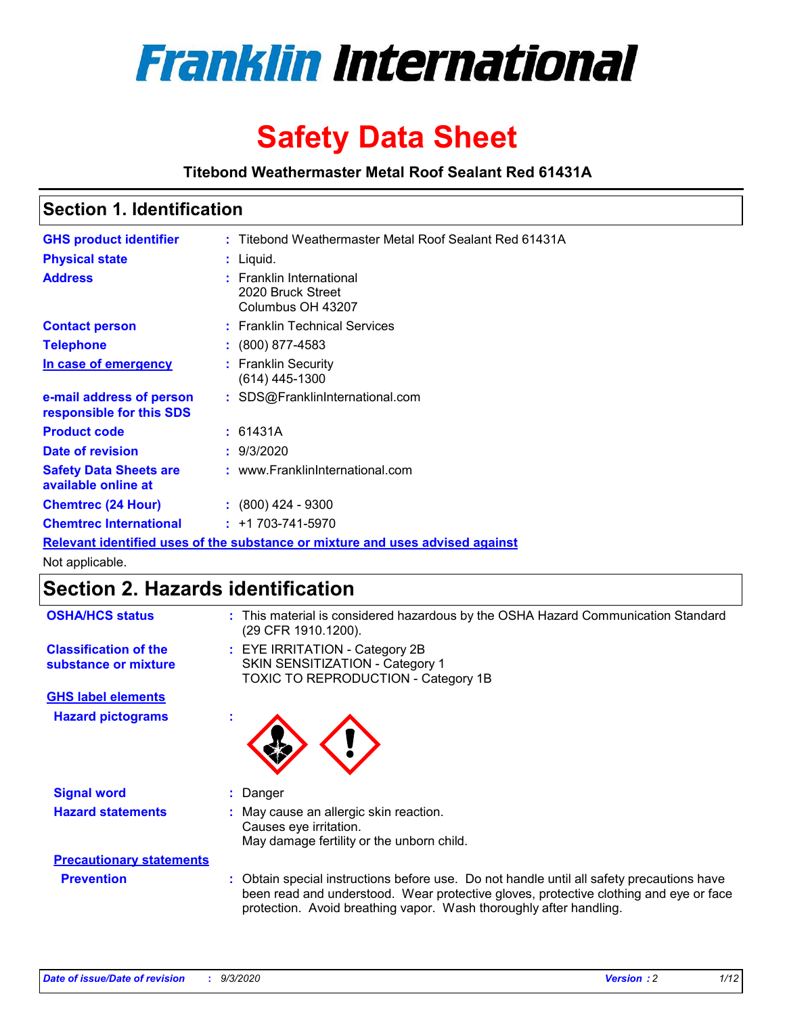

# **Safety Data Sheet**

**Titebond Weathermaster Metal Roof Sealant Red 61431A**

### **Section 1. Identification**

| <b>GHS product identifier</b>                                                 |  | : Titebond Weathermaster Metal Roof Sealant Red 61431A             |  |  |
|-------------------------------------------------------------------------------|--|--------------------------------------------------------------------|--|--|
| <b>Physical state</b>                                                         |  | $:$ Liquid.                                                        |  |  |
| <b>Address</b>                                                                |  | : Franklin International<br>2020 Bruck Street<br>Columbus OH 43207 |  |  |
| <b>Contact person</b>                                                         |  | : Franklin Technical Services                                      |  |  |
| <b>Telephone</b>                                                              |  | $\colon$ (800) 877-4583                                            |  |  |
| In case of emergency                                                          |  | : Franklin Security<br>(614) 445-1300                              |  |  |
| e-mail address of person<br>responsible for this SDS                          |  | : SDS@FranklinInternational.com                                    |  |  |
| <b>Product code</b>                                                           |  | : 61431A                                                           |  |  |
| Date of revision                                                              |  | : 9/3/2020                                                         |  |  |
| <b>Safety Data Sheets are</b><br>available online at                          |  | : www.FranklinInternational.com                                    |  |  |
| <b>Chemtrec (24 Hour)</b>                                                     |  | $\div$ (800) 424 - 9300                                            |  |  |
| <b>Chemtrec International</b>                                                 |  | $: +1703 - 741 - 5970$                                             |  |  |
| Relevant identified uses of the substance or mixture and uses advised against |  |                                                                    |  |  |

Not applicable.

### **Section 2. Hazards identification**

| <b>OSHA/HCS status</b>                               | This material is considered hazardous by the OSHA Hazard Communication Standard<br>(29 CFR 1910.1200).                                                                                                                                                   |
|------------------------------------------------------|----------------------------------------------------------------------------------------------------------------------------------------------------------------------------------------------------------------------------------------------------------|
| <b>Classification of the</b><br>substance or mixture | : EYE IRRITATION - Category 2B<br>SKIN SENSITIZATION - Category 1<br>TOXIC TO REPRODUCTION - Category 1B                                                                                                                                                 |
| <b>GHS label elements</b>                            |                                                                                                                                                                                                                                                          |
| <b>Hazard pictograms</b>                             |                                                                                                                                                                                                                                                          |
| <b>Signal word</b>                                   | Danger                                                                                                                                                                                                                                                   |
| <b>Hazard statements</b>                             | May cause an allergic skin reaction.<br>Causes eye irritation.<br>May damage fertility or the unborn child.                                                                                                                                              |
| <b>Precautionary statements</b>                      |                                                                                                                                                                                                                                                          |
| <b>Prevention</b>                                    | : Obtain special instructions before use. Do not handle until all safety precautions have<br>been read and understood. Wear protective gloves, protective clothing and eye or face<br>protection. Avoid breathing vapor. Wash thoroughly after handling. |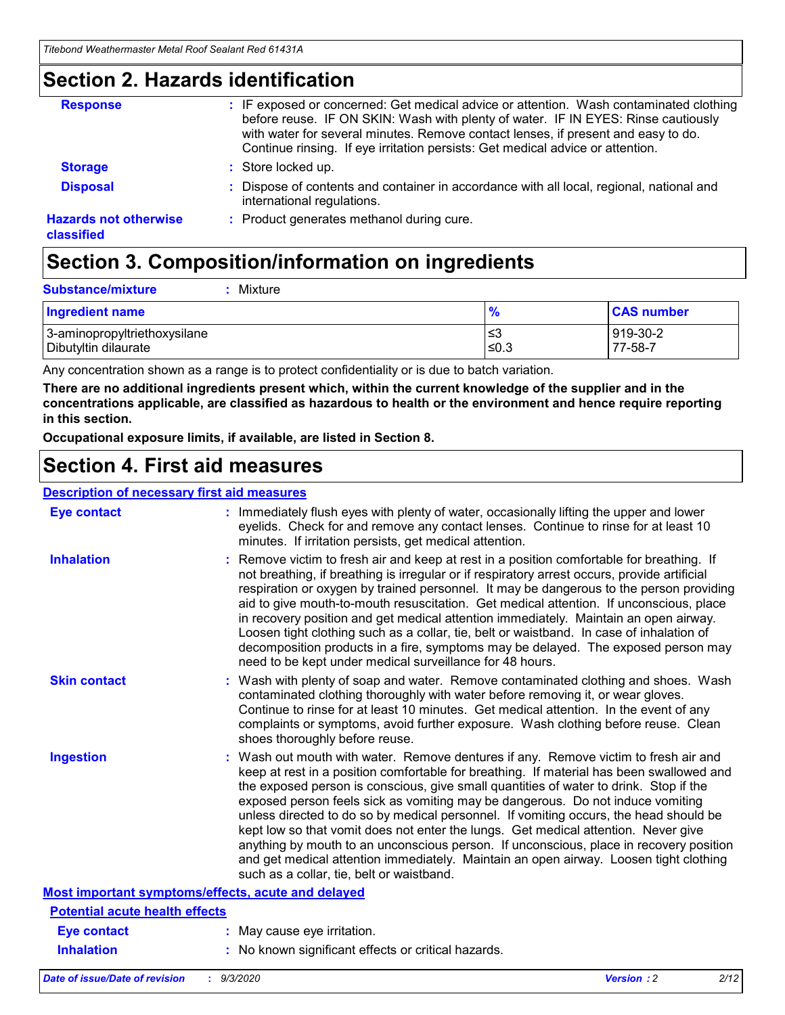### **Section 2. Hazards identification**

| <b>Response</b>                            | : IF exposed or concerned: Get medical advice or attention. Wash contaminated clothing<br>before reuse. IF ON SKIN: Wash with plenty of water. IF IN EYES: Rinse cautiously<br>with water for several minutes. Remove contact lenses, if present and easy to do.<br>Continue rinsing. If eye irritation persists: Get medical advice or attention. |
|--------------------------------------------|----------------------------------------------------------------------------------------------------------------------------------------------------------------------------------------------------------------------------------------------------------------------------------------------------------------------------------------------------|
| <b>Storage</b>                             | : Store locked up.                                                                                                                                                                                                                                                                                                                                 |
| <b>Disposal</b>                            | : Dispose of contents and container in accordance with all local, regional, national and<br>international regulations.                                                                                                                                                                                                                             |
| <b>Hazards not otherwise</b><br>classified | : Product generates methanol during cure.                                                                                                                                                                                                                                                                                                          |

# **Section 3. Composition/information on ingredients**

| <b>Substance/mixture</b> | Mixture |
|--------------------------|---------|
|                          |         |

| <b>Ingredient name</b>       | $\frac{9}{6}$ | <b>CAS number</b> |
|------------------------------|---------------|-------------------|
| 3-aminopropyltriethoxysilane | ≤3            | 919-30-2          |
| Dibutyltin dilaurate         | ∣≤0.3         | 77-58-7           |

Any concentration shown as a range is to protect confidentiality or is due to batch variation.

**There are no additional ingredients present which, within the current knowledge of the supplier and in the concentrations applicable, are classified as hazardous to health or the environment and hence require reporting in this section.**

**Occupational exposure limits, if available, are listed in Section 8.**

### **Section 4. First aid measures**

| <b>Description of necessary first aid measures</b> |                                                                                                                                                                                                                                                                                                                                                                                                                                                                                                                                                                                                                                                                                                                                                                           |
|----------------------------------------------------|---------------------------------------------------------------------------------------------------------------------------------------------------------------------------------------------------------------------------------------------------------------------------------------------------------------------------------------------------------------------------------------------------------------------------------------------------------------------------------------------------------------------------------------------------------------------------------------------------------------------------------------------------------------------------------------------------------------------------------------------------------------------------|
| <b>Eye contact</b>                                 | : Immediately flush eyes with plenty of water, occasionally lifting the upper and lower<br>eyelids. Check for and remove any contact lenses. Continue to rinse for at least 10<br>minutes. If irritation persists, get medical attention.                                                                                                                                                                                                                                                                                                                                                                                                                                                                                                                                 |
| <b>Inhalation</b>                                  | : Remove victim to fresh air and keep at rest in a position comfortable for breathing. If<br>not breathing, if breathing is irregular or if respiratory arrest occurs, provide artificial<br>respiration or oxygen by trained personnel. It may be dangerous to the person providing<br>aid to give mouth-to-mouth resuscitation. Get medical attention. If unconscious, place<br>in recovery position and get medical attention immediately. Maintain an open airway.<br>Loosen tight clothing such as a collar, tie, belt or waistband. In case of inhalation of<br>decomposition products in a fire, symptoms may be delayed. The exposed person may<br>need to be kept under medical surveillance for 48 hours.                                                       |
| <b>Skin contact</b>                                | : Wash with plenty of soap and water. Remove contaminated clothing and shoes. Wash<br>contaminated clothing thoroughly with water before removing it, or wear gloves.<br>Continue to rinse for at least 10 minutes. Get medical attention. In the event of any<br>complaints or symptoms, avoid further exposure. Wash clothing before reuse. Clean<br>shoes thoroughly before reuse.                                                                                                                                                                                                                                                                                                                                                                                     |
| <b>Ingestion</b>                                   | : Wash out mouth with water. Remove dentures if any. Remove victim to fresh air and<br>keep at rest in a position comfortable for breathing. If material has been swallowed and<br>the exposed person is conscious, give small quantities of water to drink. Stop if the<br>exposed person feels sick as vomiting may be dangerous. Do not induce vomiting<br>unless directed to do so by medical personnel. If vomiting occurs, the head should be<br>kept low so that vomit does not enter the lungs. Get medical attention. Never give<br>anything by mouth to an unconscious person. If unconscious, place in recovery position<br>and get medical attention immediately. Maintain an open airway. Loosen tight clothing<br>such as a collar, tie, belt or waistband. |
| Most important symptoms/effects, acute and delayed |                                                                                                                                                                                                                                                                                                                                                                                                                                                                                                                                                                                                                                                                                                                                                                           |
| <b>Potential acute health effects</b>              |                                                                                                                                                                                                                                                                                                                                                                                                                                                                                                                                                                                                                                                                                                                                                                           |
| <b>Eye contact</b>                                 | : May cause eye irritation.                                                                                                                                                                                                                                                                                                                                                                                                                                                                                                                                                                                                                                                                                                                                               |
| <b>Inhalation</b>                                  | : No known significant effects or critical hazards.                                                                                                                                                                                                                                                                                                                                                                                                                                                                                                                                                                                                                                                                                                                       |
|                                                    |                                                                                                                                                                                                                                                                                                                                                                                                                                                                                                                                                                                                                                                                                                                                                                           |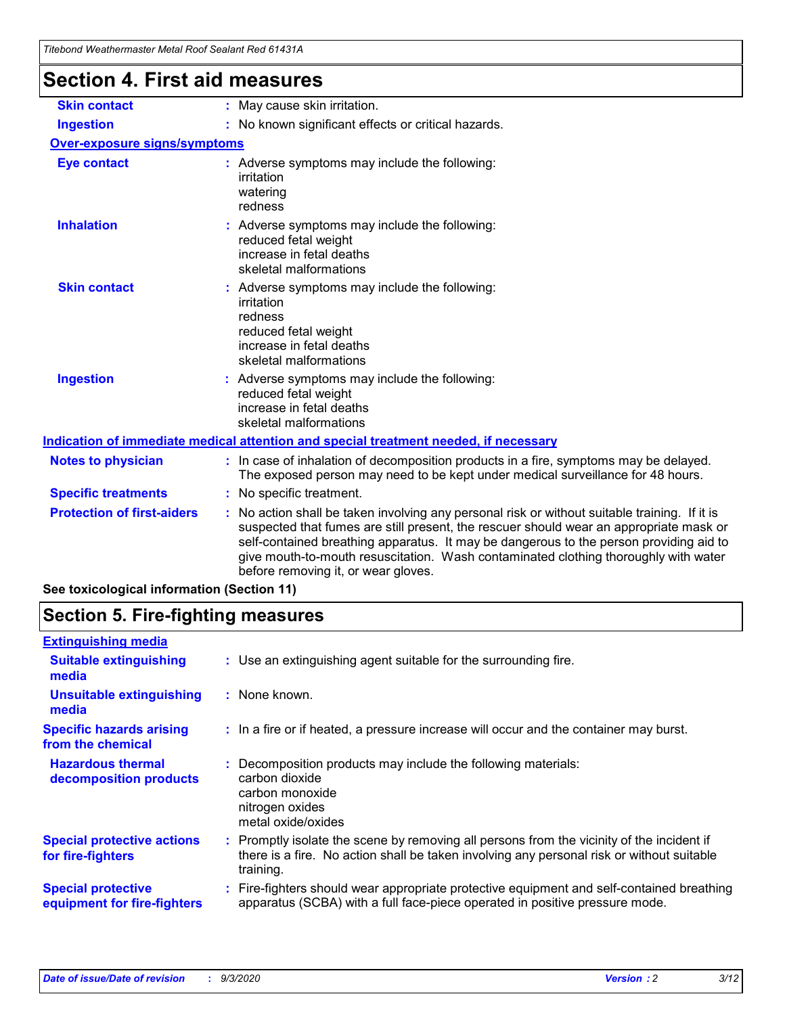| Titebond Weathermaster Metal Roof Sealant Red 61431A |                                                                                                                                                                                                                                                                                                                                                                                                               |  |  |  |
|------------------------------------------------------|---------------------------------------------------------------------------------------------------------------------------------------------------------------------------------------------------------------------------------------------------------------------------------------------------------------------------------------------------------------------------------------------------------------|--|--|--|
| Section 4. First aid measures                        |                                                                                                                                                                                                                                                                                                                                                                                                               |  |  |  |
| <b>Skin contact</b>                                  | : May cause skin irritation.                                                                                                                                                                                                                                                                                                                                                                                  |  |  |  |
| <b>Ingestion</b>                                     | : No known significant effects or critical hazards.                                                                                                                                                                                                                                                                                                                                                           |  |  |  |
| <b>Over-exposure signs/symptoms</b>                  |                                                                                                                                                                                                                                                                                                                                                                                                               |  |  |  |
| <b>Eye contact</b>                                   | : Adverse symptoms may include the following:<br>irritation<br>watering<br>redness                                                                                                                                                                                                                                                                                                                            |  |  |  |
| <b>Inhalation</b>                                    | : Adverse symptoms may include the following:<br>reduced fetal weight<br>increase in fetal deaths<br>skeletal malformations                                                                                                                                                                                                                                                                                   |  |  |  |
| <b>Skin contact</b>                                  | : Adverse symptoms may include the following:<br>irritation<br>redness<br>reduced fetal weight<br>increase in fetal deaths<br>skeletal malformations                                                                                                                                                                                                                                                          |  |  |  |
| <b>Ingestion</b>                                     | Adverse symptoms may include the following:<br>reduced fetal weight<br>increase in fetal deaths<br>skeletal malformations                                                                                                                                                                                                                                                                                     |  |  |  |
|                                                      | Indication of immediate medical attention and special treatment needed, if necessary                                                                                                                                                                                                                                                                                                                          |  |  |  |
| <b>Notes to physician</b>                            | : In case of inhalation of decomposition products in a fire, symptoms may be delayed.<br>The exposed person may need to be kept under medical surveillance for 48 hours.                                                                                                                                                                                                                                      |  |  |  |
| <b>Specific treatments</b>                           | : No specific treatment.                                                                                                                                                                                                                                                                                                                                                                                      |  |  |  |
| <b>Protection of first-aiders</b>                    | No action shall be taken involving any personal risk or without suitable training. If it is<br>suspected that fumes are still present, the rescuer should wear an appropriate mask or<br>self-contained breathing apparatus. It may be dangerous to the person providing aid to<br>give mouth-to-mouth resuscitation. Wash contaminated clothing thoroughly with water<br>before removing it, or wear gloves. |  |  |  |
| See toxicological information (Section 11)           |                                                                                                                                                                                                                                                                                                                                                                                                               |  |  |  |

### **Section 5. Fire-fighting measures**

| <b>Extinguishing media</b>                               |                                                                                                                                                                                                     |  |
|----------------------------------------------------------|-----------------------------------------------------------------------------------------------------------------------------------------------------------------------------------------------------|--|
| <b>Suitable extinguishing</b><br>media                   | : Use an extinguishing agent suitable for the surrounding fire.                                                                                                                                     |  |
| <b>Unsuitable extinguishing</b><br>media                 | : None known.                                                                                                                                                                                       |  |
| <b>Specific hazards arising</b><br>from the chemical     | : In a fire or if heated, a pressure increase will occur and the container may burst.                                                                                                               |  |
| <b>Hazardous thermal</b><br>decomposition products       | : Decomposition products may include the following materials:<br>carbon dioxide<br>carbon monoxide<br>nitrogen oxides<br>metal oxide/oxides                                                         |  |
| <b>Special protective actions</b><br>for fire-fighters   | : Promptly isolate the scene by removing all persons from the vicinity of the incident if<br>there is a fire. No action shall be taken involving any personal risk or without suitable<br>training. |  |
| <b>Special protective</b><br>equipment for fire-fighters | Fire-fighters should wear appropriate protective equipment and self-contained breathing<br>apparatus (SCBA) with a full face-piece operated in positive pressure mode.                              |  |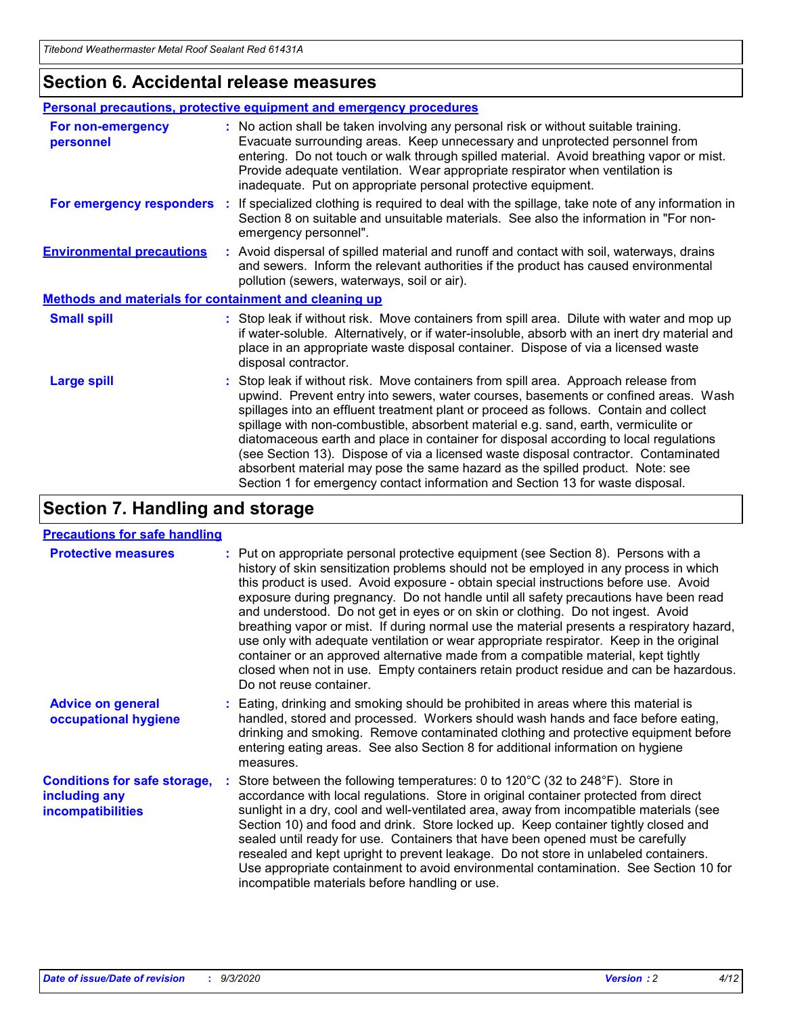### **Section 6. Accidental release measures**

|                                                              | Personal precautions, protective equipment and emergency procedures                                                                                                                                                                                                                                                                                                                                                                                                                                                                                                                                                                                                                                          |  |  |  |
|--------------------------------------------------------------|--------------------------------------------------------------------------------------------------------------------------------------------------------------------------------------------------------------------------------------------------------------------------------------------------------------------------------------------------------------------------------------------------------------------------------------------------------------------------------------------------------------------------------------------------------------------------------------------------------------------------------------------------------------------------------------------------------------|--|--|--|
| For non-emergency<br>personnel                               | : No action shall be taken involving any personal risk or without suitable training.<br>Evacuate surrounding areas. Keep unnecessary and unprotected personnel from<br>entering. Do not touch or walk through spilled material. Avoid breathing vapor or mist.<br>Provide adequate ventilation. Wear appropriate respirator when ventilation is<br>inadequate. Put on appropriate personal protective equipment.                                                                                                                                                                                                                                                                                             |  |  |  |
| For emergency responders                                     | : If specialized clothing is required to deal with the spillage, take note of any information in<br>Section 8 on suitable and unsuitable materials. See also the information in "For non-<br>emergency personnel".                                                                                                                                                                                                                                                                                                                                                                                                                                                                                           |  |  |  |
| <b>Environmental precautions</b>                             | : Avoid dispersal of spilled material and runoff and contact with soil, waterways, drains<br>and sewers. Inform the relevant authorities if the product has caused environmental<br>pollution (sewers, waterways, soil or air).                                                                                                                                                                                                                                                                                                                                                                                                                                                                              |  |  |  |
| <b>Methods and materials for containment and cleaning up</b> |                                                                                                                                                                                                                                                                                                                                                                                                                                                                                                                                                                                                                                                                                                              |  |  |  |
| <b>Small spill</b>                                           | : Stop leak if without risk. Move containers from spill area. Dilute with water and mop up<br>if water-soluble. Alternatively, or if water-insoluble, absorb with an inert dry material and<br>place in an appropriate waste disposal container. Dispose of via a licensed waste<br>disposal contractor.                                                                                                                                                                                                                                                                                                                                                                                                     |  |  |  |
| <b>Large spill</b>                                           | : Stop leak if without risk. Move containers from spill area. Approach release from<br>upwind. Prevent entry into sewers, water courses, basements or confined areas. Wash<br>spillages into an effluent treatment plant or proceed as follows. Contain and collect<br>spillage with non-combustible, absorbent material e.g. sand, earth, vermiculite or<br>diatomaceous earth and place in container for disposal according to local regulations<br>(see Section 13). Dispose of via a licensed waste disposal contractor. Contaminated<br>absorbent material may pose the same hazard as the spilled product. Note: see<br>Section 1 for emergency contact information and Section 13 for waste disposal. |  |  |  |

### **Section 7. Handling and storage**

#### **Precautions for safe handling**

| <b>Protective measures</b>                                                       | : Put on appropriate personal protective equipment (see Section 8). Persons with a<br>history of skin sensitization problems should not be employed in any process in which<br>this product is used. Avoid exposure - obtain special instructions before use. Avoid<br>exposure during pregnancy. Do not handle until all safety precautions have been read<br>and understood. Do not get in eyes or on skin or clothing. Do not ingest. Avoid<br>breathing vapor or mist. If during normal use the material presents a respiratory hazard,<br>use only with adequate ventilation or wear appropriate respirator. Keep in the original<br>container or an approved alternative made from a compatible material, kept tightly<br>closed when not in use. Empty containers retain product residue and can be hazardous.<br>Do not reuse container. |
|----------------------------------------------------------------------------------|--------------------------------------------------------------------------------------------------------------------------------------------------------------------------------------------------------------------------------------------------------------------------------------------------------------------------------------------------------------------------------------------------------------------------------------------------------------------------------------------------------------------------------------------------------------------------------------------------------------------------------------------------------------------------------------------------------------------------------------------------------------------------------------------------------------------------------------------------|
| <b>Advice on general</b><br>occupational hygiene                                 | : Eating, drinking and smoking should be prohibited in areas where this material is<br>handled, stored and processed. Workers should wash hands and face before eating,<br>drinking and smoking. Remove contaminated clothing and protective equipment before<br>entering eating areas. See also Section 8 for additional information on hygiene<br>measures.                                                                                                                                                                                                                                                                                                                                                                                                                                                                                    |
| <b>Conditions for safe storage,</b><br>including any<br><i>incompatibilities</i> | Store between the following temperatures: 0 to $120^{\circ}$ C (32 to $248^{\circ}$ F). Store in<br>accordance with local regulations. Store in original container protected from direct<br>sunlight in a dry, cool and well-ventilated area, away from incompatible materials (see<br>Section 10) and food and drink. Store locked up. Keep container tightly closed and<br>sealed until ready for use. Containers that have been opened must be carefully<br>resealed and kept upright to prevent leakage. Do not store in unlabeled containers.<br>Use appropriate containment to avoid environmental contamination. See Section 10 for<br>incompatible materials before handling or use.                                                                                                                                                     |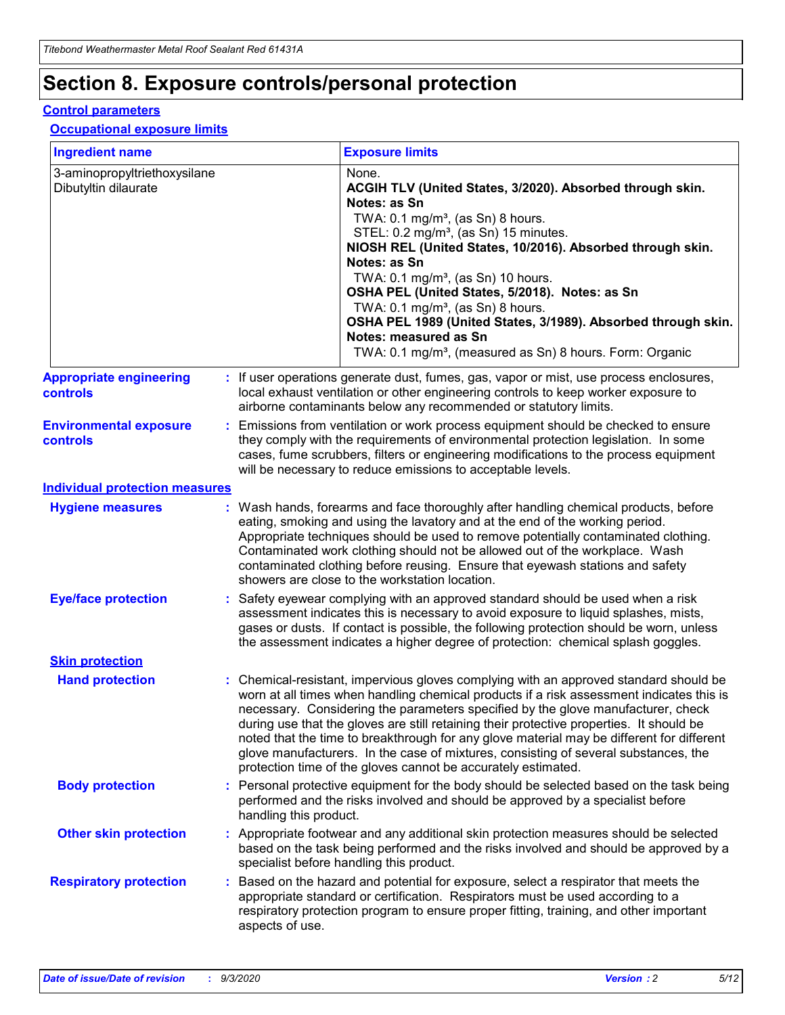# **Section 8. Exposure controls/personal protection**

#### **Control parameters**

#### **Occupational exposure limits**

| <b>Ingredient name</b>                               |    |                                          | <b>Exposure limits</b>                                                                                                                                                                                                                                                                                                                                                                                                                                                                                                                                                                                                 |
|------------------------------------------------------|----|------------------------------------------|------------------------------------------------------------------------------------------------------------------------------------------------------------------------------------------------------------------------------------------------------------------------------------------------------------------------------------------------------------------------------------------------------------------------------------------------------------------------------------------------------------------------------------------------------------------------------------------------------------------------|
| 3-aminopropyltriethoxysilane<br>Dibutyltin dilaurate |    |                                          | None.<br>ACGIH TLV (United States, 3/2020). Absorbed through skin.<br>Notes: as Sn<br>TWA: 0.1 mg/m <sup>3</sup> , (as Sn) 8 hours.<br>STEL: 0.2 mg/m <sup>3</sup> , (as Sn) 15 minutes.<br>NIOSH REL (United States, 10/2016). Absorbed through skin.<br>Notes: as Sn<br>TWA: 0.1 mg/m <sup>3</sup> , (as Sn) 10 hours.<br>OSHA PEL (United States, 5/2018). Notes: as Sn<br>TWA: $0.1 \text{ mg/m}^3$ , (as Sn) 8 hours.<br>OSHA PEL 1989 (United States, 3/1989). Absorbed through skin.<br>Notes: measured as Sn<br>TWA: 0.1 mg/m <sup>3</sup> , (measured as Sn) 8 hours. Form: Organic                           |
| <b>Appropriate engineering</b><br>controls           |    |                                          | : If user operations generate dust, fumes, gas, vapor or mist, use process enclosures,<br>local exhaust ventilation or other engineering controls to keep worker exposure to<br>airborne contaminants below any recommended or statutory limits.                                                                                                                                                                                                                                                                                                                                                                       |
| <b>Environmental exposure</b><br><b>controls</b>     |    |                                          | Emissions from ventilation or work process equipment should be checked to ensure<br>they comply with the requirements of environmental protection legislation. In some<br>cases, fume scrubbers, filters or engineering modifications to the process equipment<br>will be necessary to reduce emissions to acceptable levels.                                                                                                                                                                                                                                                                                          |
| <b>Individual protection measures</b>                |    |                                          |                                                                                                                                                                                                                                                                                                                                                                                                                                                                                                                                                                                                                        |
| <b>Hygiene measures</b>                              |    |                                          | : Wash hands, forearms and face thoroughly after handling chemical products, before<br>eating, smoking and using the lavatory and at the end of the working period.<br>Appropriate techniques should be used to remove potentially contaminated clothing.<br>Contaminated work clothing should not be allowed out of the workplace. Wash<br>contaminated clothing before reusing. Ensure that eyewash stations and safety<br>showers are close to the workstation location.                                                                                                                                            |
| <b>Eye/face protection</b>                           |    |                                          | : Safety eyewear complying with an approved standard should be used when a risk<br>assessment indicates this is necessary to avoid exposure to liquid splashes, mists,<br>gases or dusts. If contact is possible, the following protection should be worn, unless<br>the assessment indicates a higher degree of protection: chemical splash goggles.                                                                                                                                                                                                                                                                  |
| <b>Skin protection</b>                               |    |                                          |                                                                                                                                                                                                                                                                                                                                                                                                                                                                                                                                                                                                                        |
| <b>Hand protection</b>                               |    |                                          | : Chemical-resistant, impervious gloves complying with an approved standard should be<br>worn at all times when handling chemical products if a risk assessment indicates this is<br>necessary. Considering the parameters specified by the glove manufacturer, check<br>during use that the gloves are still retaining their protective properties. It should be<br>noted that the time to breakthrough for any glove material may be different for different<br>glove manufacturers. In the case of mixtures, consisting of several substances, the<br>protection time of the gloves cannot be accurately estimated. |
| <b>Body protection</b>                               |    | handling this product.                   | Personal protective equipment for the body should be selected based on the task being<br>performed and the risks involved and should be approved by a specialist before                                                                                                                                                                                                                                                                                                                                                                                                                                                |
| <b>Other skin protection</b>                         |    | specialist before handling this product. | : Appropriate footwear and any additional skin protection measures should be selected<br>based on the task being performed and the risks involved and should be approved by a                                                                                                                                                                                                                                                                                                                                                                                                                                          |
| <b>Respiratory protection</b>                        | ÷. | aspects of use.                          | Based on the hazard and potential for exposure, select a respirator that meets the<br>appropriate standard or certification. Respirators must be used according to a<br>respiratory protection program to ensure proper fitting, training, and other important                                                                                                                                                                                                                                                                                                                                                         |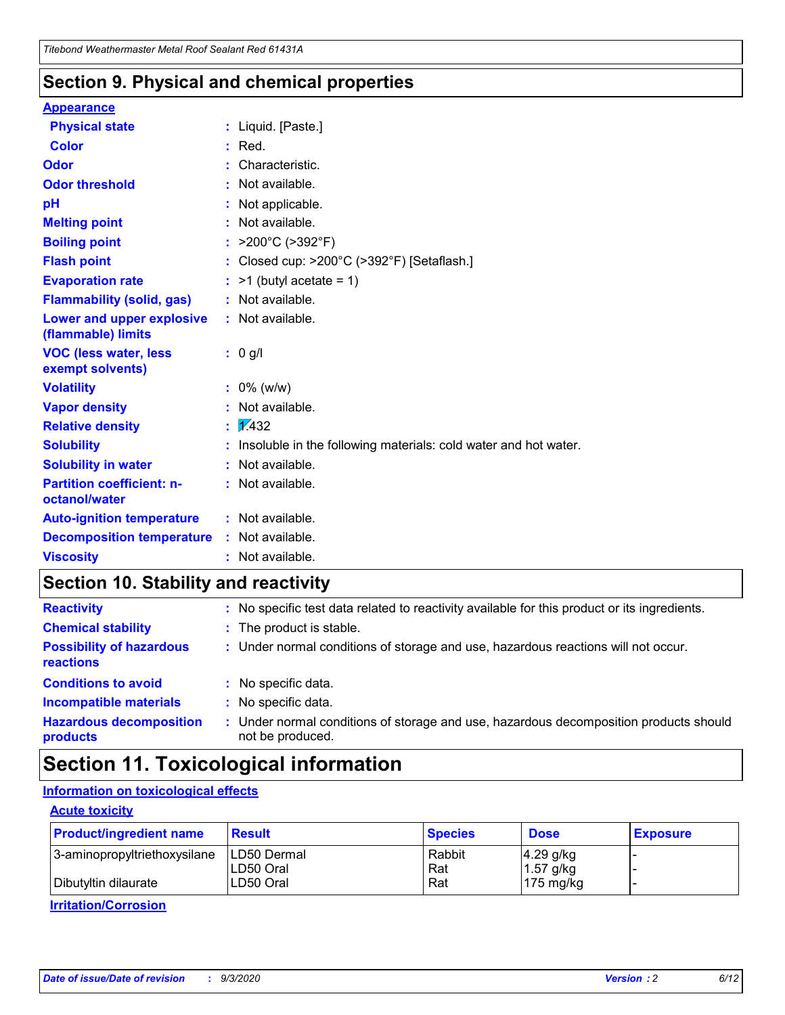### **Section 9. Physical and chemical properties**

#### **Appearance**

| <b>Physical state</b>                             |   | : Liquid. [Paste.]                                              |
|---------------------------------------------------|---|-----------------------------------------------------------------|
| <b>Color</b>                                      |   | Red.                                                            |
| Odor                                              |   | Characteristic.                                                 |
| <b>Odor threshold</b>                             | ÷ | Not available.                                                  |
| рH                                                |   | Not applicable.                                                 |
| <b>Melting point</b>                              |   | : Not available.                                                |
| <b>Boiling point</b>                              |   | >200°C (>392°F)                                                 |
| <b>Flash point</b>                                |   | Closed cup: >200°C (>392°F) [Setaflash.]                        |
| <b>Evaporation rate</b>                           |   | $:$ >1 (butyl acetate = 1)                                      |
| <b>Flammability (solid, gas)</b>                  |   | : Not available.                                                |
| Lower and upper explosive<br>(flammable) limits   |   | : Not available.                                                |
| <b>VOC (less water, less)</b><br>exempt solvents) |   | : 0 g/l                                                         |
| <b>Volatility</b>                                 |   | $: 0\%$ (w/w)                                                   |
| <b>Vapor density</b>                              |   | Not available.                                                  |
| <b>Relative density</b>                           |   | $\mathbf{1}$ $\mathbf{\sqrt{432}}$                              |
| <b>Solubility</b>                                 |   | Insoluble in the following materials: cold water and hot water. |
| <b>Solubility in water</b>                        |   | Not available.                                                  |
| <b>Partition coefficient: n-</b><br>octanol/water |   | $:$ Not available.                                              |
| <b>Auto-ignition temperature</b>                  |   | : Not available.                                                |
| <b>Decomposition temperature</b>                  |   | : Not available.                                                |
| <b>Viscosity</b>                                  |   | $:$ Not available.                                              |

### **Section 10. Stability and reactivity**

| <b>Reactivity</b>                            |    | : No specific test data related to reactivity available for this product or its ingredients.            |
|----------------------------------------------|----|---------------------------------------------------------------------------------------------------------|
| <b>Chemical stability</b>                    |    | : The product is stable.                                                                                |
| <b>Possibility of hazardous</b><br>reactions |    | : Under normal conditions of storage and use, hazardous reactions will not occur.                       |
| <b>Conditions to avoid</b>                   |    | : No specific data.                                                                                     |
| <b>Incompatible materials</b>                | ٠. | No specific data.                                                                                       |
| <b>Hazardous decomposition</b><br>products   | ÷. | Under normal conditions of storage and use, hazardous decomposition products should<br>not be produced. |

### **Section 11. Toxicological information**

#### **Information on toxicological effects**

#### **Acute toxicity**

| <b>Product/ingredient name</b> | <b>Result</b>           | <b>Species</b> | <b>Dose</b>                | <b>Exposure</b> |
|--------------------------------|-------------------------|----------------|----------------------------|-----------------|
| 3-aminopropyltriethoxysilane   | <b>ILD50 Dermal</b>     | Rabbit         | 4.29 g/kg                  |                 |
| Dibutyltin dilaurate           | ILD50 Oral<br>LD50 Oral | Rat<br>Rat     | $1.57$ g/kg<br>175 $mg/kg$ |                 |
|                                |                         |                |                            |                 |

**Irritation/Corrosion**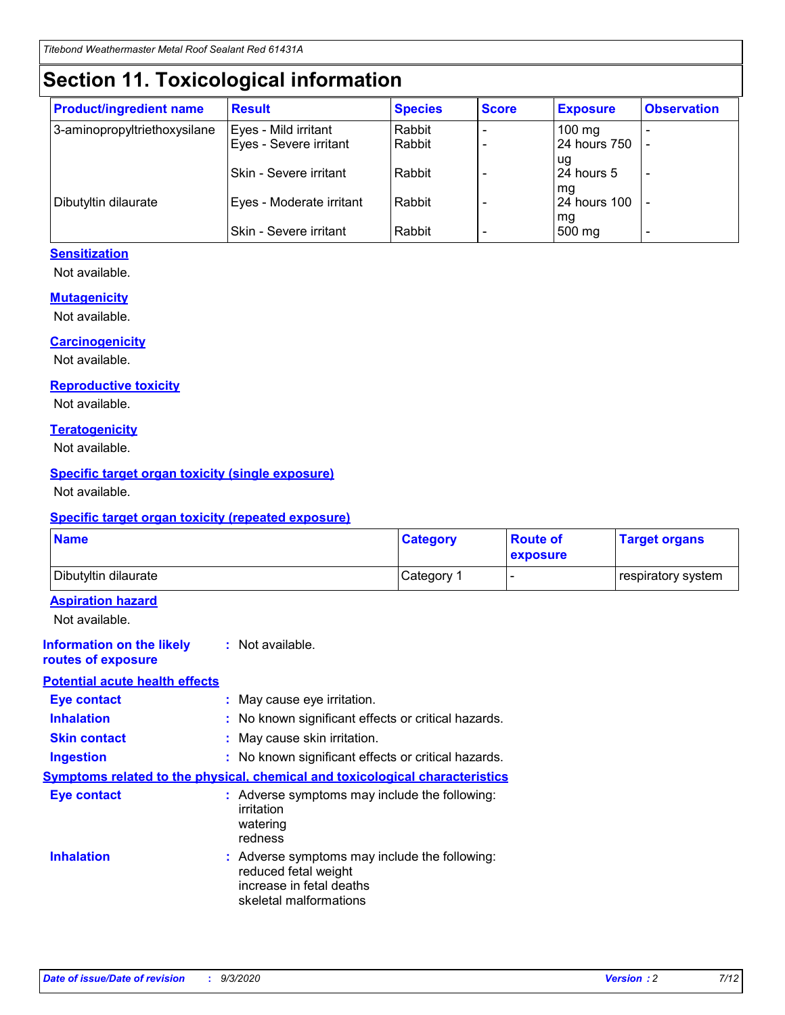## **Section 11. Toxicological information**

| <b>Product/ingredient name</b> | <b>Result</b>                 | <b>Species</b> | <b>Score</b> | <b>Exposure</b>    | <b>Observation</b>       |
|--------------------------------|-------------------------------|----------------|--------------|--------------------|--------------------------|
| 3-aminopropyltriethoxysilane   | Eyes - Mild irritant          | Rabbit         |              | $100 \text{ mg}$   |                          |
|                                | Eyes - Severe irritant        | Rabbit         |              | 24 hours 750       |                          |
|                                |                               |                |              | ug                 |                          |
|                                | <b>Skin - Severe irritant</b> | Rabbit         |              | 24 hours 5         | $\overline{\phantom{0}}$ |
| Dibutyltin dilaurate           | Eyes - Moderate irritant      | Rabbit         |              | mg<br>24 hours 100 |                          |
|                                |                               |                |              | mg                 |                          |
|                                | Skin - Severe irritant        | Rabbit         |              | 500 mg             | -                        |

#### **Sensitization**

Not available.

#### **Mutagenicity**

Not available.

#### **Carcinogenicity**

Not available.

#### **Reproductive toxicity**

Not available.

#### **Teratogenicity**

Not available.

#### **Specific target organ toxicity (single exposure)**

Not available.

#### **Specific target organ toxicity (repeated exposure)**

| <b>Name</b>                                                                  |                                                                            | <b>Category</b>                                     | <b>Route of</b><br>exposure | <b>Target organs</b> |  |  |
|------------------------------------------------------------------------------|----------------------------------------------------------------------------|-----------------------------------------------------|-----------------------------|----------------------|--|--|
| Dibutyltin dilaurate                                                         |                                                                            | Category 1                                          |                             | respiratory system   |  |  |
| <b>Aspiration hazard</b><br>Not available.                                   |                                                                            |                                                     |                             |                      |  |  |
| <b>Information on the likely</b><br>routes of exposure                       | : Not available.                                                           |                                                     |                             |                      |  |  |
| <b>Potential acute health effects</b>                                        |                                                                            |                                                     |                             |                      |  |  |
| <b>Eye contact</b>                                                           |                                                                            | : May cause eye irritation.                         |                             |                      |  |  |
| <b>Inhalation</b>                                                            |                                                                            | : No known significant effects or critical hazards. |                             |                      |  |  |
| <b>Skin contact</b>                                                          |                                                                            | : May cause skin irritation.                        |                             |                      |  |  |
| <b>Ingestion</b>                                                             |                                                                            | : No known significant effects or critical hazards. |                             |                      |  |  |
| Symptoms related to the physical, chemical and toxicological characteristics |                                                                            |                                                     |                             |                      |  |  |
| <b>Eye contact</b>                                                           | irritation<br>watering<br>redness                                          | : Adverse symptoms may include the following:       |                             |                      |  |  |
| <b>Inhalation</b>                                                            | reduced fetal weight<br>increase in fetal deaths<br>skeletal malformations | : Adverse symptoms may include the following:       |                             |                      |  |  |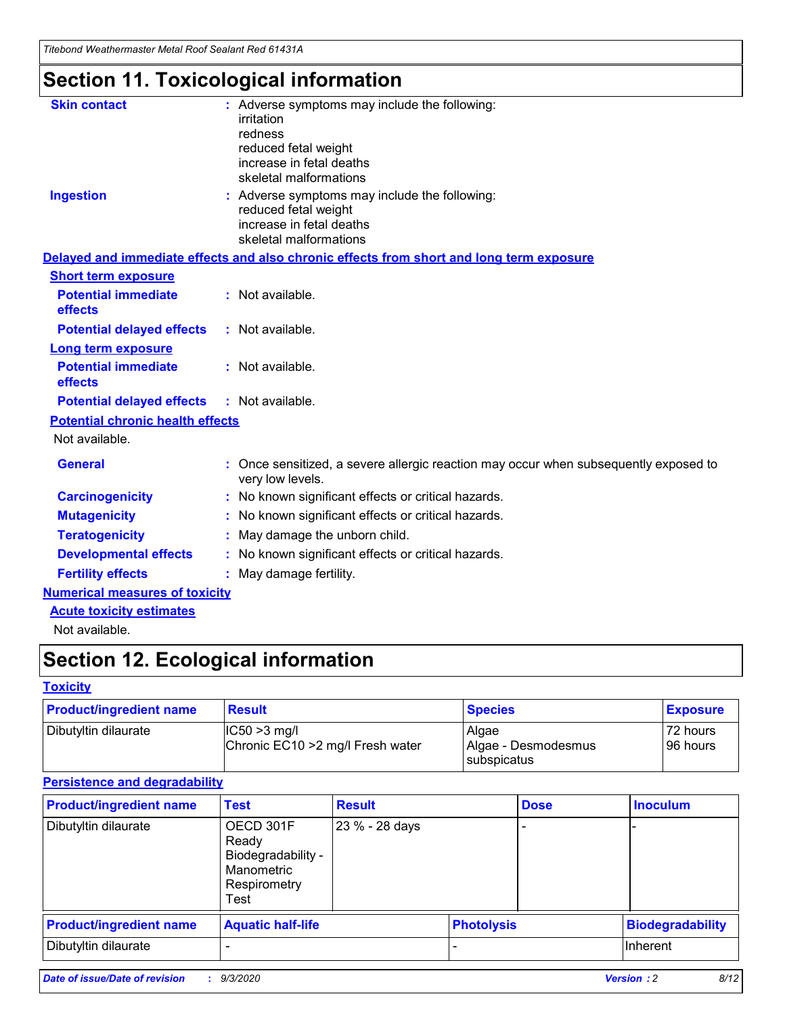*Titebond Weathermaster Metal Roof Sealant Red 61431A*

# **Section 11. Toxicological information**

| <b>Skin contact</b>                     | : Adverse symptoms may include the following:<br>irritation                                                                 |  |
|-----------------------------------------|-----------------------------------------------------------------------------------------------------------------------------|--|
|                                         | redness                                                                                                                     |  |
|                                         | reduced fetal weight<br>increase in fetal deaths                                                                            |  |
|                                         | skeletal malformations                                                                                                      |  |
| <b>Ingestion</b>                        | : Adverse symptoms may include the following:<br>reduced fetal weight<br>increase in fetal deaths<br>skeletal malformations |  |
|                                         | Delayed and immediate effects and also chronic effects from short and long term exposure                                    |  |
| <b>Short term exposure</b>              |                                                                                                                             |  |
| <b>Potential immediate</b><br>effects   | : Not available.                                                                                                            |  |
| <b>Potential delayed effects</b>        | : Not available.                                                                                                            |  |
| <b>Long term exposure</b>               |                                                                                                                             |  |
| <b>Potential immediate</b><br>effects   | : Not available.                                                                                                            |  |
| <b>Potential delayed effects</b>        | : Not available.                                                                                                            |  |
| <b>Potential chronic health effects</b> |                                                                                                                             |  |
| Not available.                          |                                                                                                                             |  |
| <b>General</b>                          | Once sensitized, a severe allergic reaction may occur when subsequently exposed to<br>very low levels.                      |  |
| <b>Carcinogenicity</b>                  | : No known significant effects or critical hazards.                                                                         |  |
| <b>Mutagenicity</b>                     | : No known significant effects or critical hazards.                                                                         |  |
| <b>Teratogenicity</b>                   | May damage the unborn child.                                                                                                |  |
| <b>Developmental effects</b>            | : No known significant effects or critical hazards.                                                                         |  |
| <b>Fertility effects</b>                | May damage fertility.                                                                                                       |  |
| <b>Numerical measures of toxicity</b>   |                                                                                                                             |  |
| <b>Acute toxicity estimates</b>         |                                                                                                                             |  |
| الملحلة والمستحيط والمسالم              |                                                                                                                             |  |

Not available.

# **Section 12. Ecological information**

#### **Toxicity**

| <b>Product/ingredient name</b> | <b>Result</b>                                       | <b>Species</b>               | <b>Exposure</b>       |
|--------------------------------|-----------------------------------------------------|------------------------------|-----------------------|
| Dibutyltin dilaurate           | $ CC50>3$ mg/l<br>Chronic EC10 > 2 mg/l Fresh water | Algae<br>Algae - Desmodesmus | 72 hours<br>196 hours |
|                                |                                                     | <b>I</b> subspicatus         |                       |

#### **Persistence and degradability**

| <b>Product/ingredient name</b> | <b>Test</b>                                                                    | <b>Result</b>  |                   | <b>Dose</b> | <b>Inoculum</b>         |
|--------------------------------|--------------------------------------------------------------------------------|----------------|-------------------|-------------|-------------------------|
| Dibutyltin dilaurate           | OECD 301F<br>Ready<br>Biodegradability -<br>Manometric<br>Respirometry<br>Test | 23 % - 28 days |                   |             |                         |
| <b>Product/ingredient name</b> | <b>Aquatic half-life</b>                                                       |                | <b>Photolysis</b> |             | <b>Biodegradability</b> |
| Dibutyltin dilaurate           |                                                                                |                |                   |             | <b>Inherent</b>         |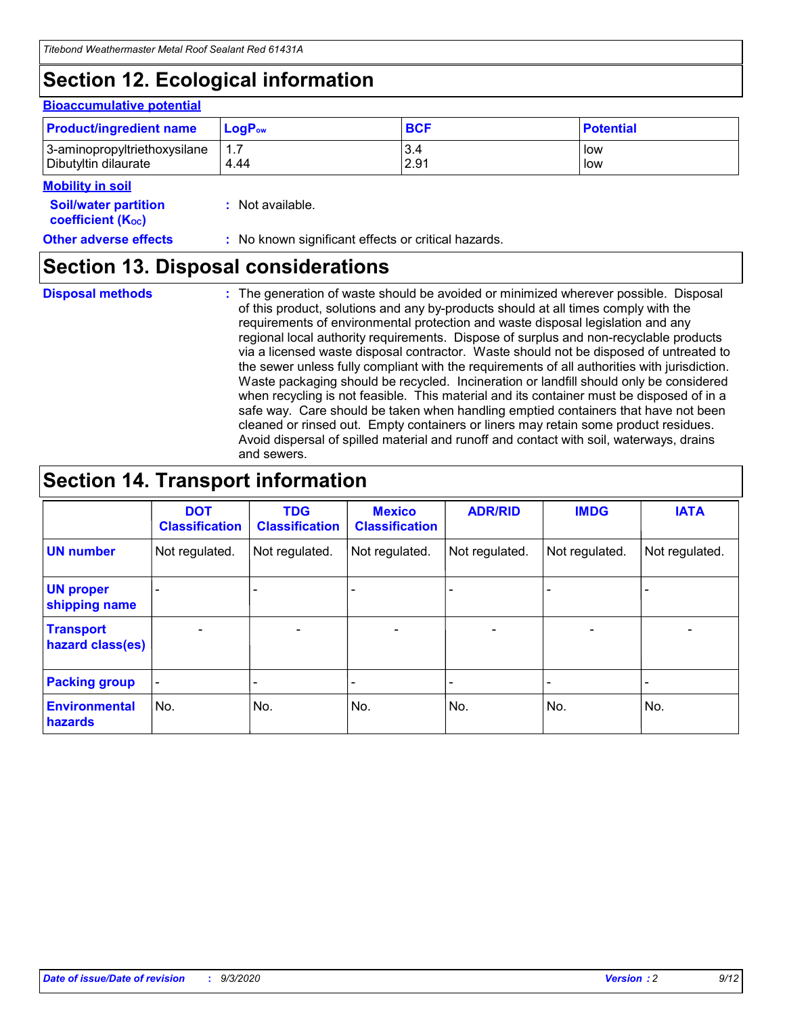# **Section 12. Ecological information**

#### **Bioaccumulative potential**

| <b>Product/ingredient name</b> | <b>LogP</b> <sub>ow</sub> | <b>BCF</b> | <b>Potential</b> |
|--------------------------------|---------------------------|------------|------------------|
| 3-aminopropyltriethoxysilane   | 4.44                      | 3.4        | low              |
| Dibutyltin dilaurate           |                           | 2.91       | low              |

#### **Mobility in soil**

| <b>MODILITY III SOIL</b>                                      |                                                     |
|---------------------------------------------------------------|-----------------------------------------------------|
| <b>Soil/water partition</b><br>coefficient (K <sub>oc</sub> ) | : Not available.                                    |
| <b>Other adverse effects</b>                                  | : No known significant effects or critical hazards. |

### **Section 13. Disposal considerations**

**Disposal methods :**

The generation of waste should be avoided or minimized wherever possible. Disposal of this product, solutions and any by-products should at all times comply with the requirements of environmental protection and waste disposal legislation and any regional local authority requirements. Dispose of surplus and non-recyclable products via a licensed waste disposal contractor. Waste should not be disposed of untreated to the sewer unless fully compliant with the requirements of all authorities with jurisdiction. Waste packaging should be recycled. Incineration or landfill should only be considered when recycling is not feasible. This material and its container must be disposed of in a safe way. Care should be taken when handling emptied containers that have not been cleaned or rinsed out. Empty containers or liners may retain some product residues. Avoid dispersal of spilled material and runoff and contact with soil, waterways, drains and sewers.

### **Section 14. Transport information**

|                                      | <b>DOT</b><br><b>Classification</b> | <b>TDG</b><br><b>Classification</b> | <b>Mexico</b><br><b>Classification</b> | <b>ADR/RID</b>           | <b>IMDG</b>              | <b>IATA</b>    |
|--------------------------------------|-------------------------------------|-------------------------------------|----------------------------------------|--------------------------|--------------------------|----------------|
| <b>UN number</b>                     | Not regulated.                      | Not regulated.                      | Not regulated.                         | Not regulated.           | Not regulated.           | Not regulated. |
| <b>UN proper</b><br>shipping name    |                                     |                                     |                                        |                          |                          |                |
| <b>Transport</b><br>hazard class(es) |                                     | $\overline{\phantom{0}}$            | $\qquad \qquad \blacksquare$           | $\overline{\phantom{0}}$ | $\overline{\phantom{0}}$ |                |
| <b>Packing group</b>                 |                                     |                                     |                                        |                          |                          |                |
| <b>Environmental</b><br>hazards      | No.                                 | No.                                 | No.                                    | No.                      | No.                      | No.            |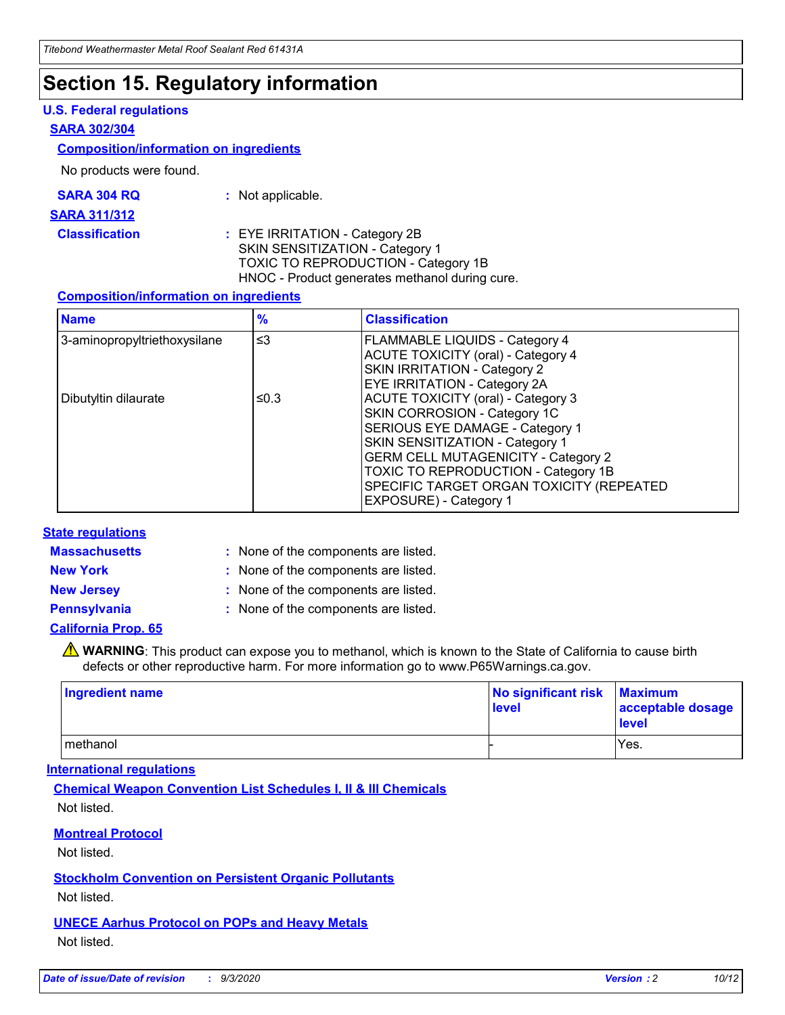### **Section 15. Regulatory information**

#### **U.S. Federal regulations**

#### **SARA 302/304**

#### **Composition/information on ingredients**

No products were found.

| SARA 304 RQ | Not applicable. |
|-------------|-----------------|
|-------------|-----------------|

#### **SARA 311/312**

#### **Classification :** EYE IRRITATION - Category 2B SKIN SENSITIZATION - Category 1 TOXIC TO REPRODUCTION - Category 1B HNOC - Product generates methanol during cure.

#### **Composition/information on ingredients**

| <b>Name</b>                  | $\frac{9}{6}$ | <b>Classification</b>                                                                                                                                                                                                                                                                                      |
|------------------------------|---------------|------------------------------------------------------------------------------------------------------------------------------------------------------------------------------------------------------------------------------------------------------------------------------------------------------------|
| 3-aminopropyltriethoxysilane | $\leq$ 3      | <b>FLAMMABLE LIQUIDS - Category 4</b><br><b>ACUTE TOXICITY (oral) - Category 4</b><br><b>SKIN IRRITATION - Category 2</b><br>EYE IRRITATION - Category 2A                                                                                                                                                  |
| Dibutyltin dilaurate         | ≤0.3          | <b>ACUTE TOXICITY (oral) - Category 3</b><br>SKIN CORROSION - Category 1C<br>SERIOUS EYE DAMAGE - Category 1<br>SKIN SENSITIZATION - Category 1<br><b>GERM CELL MUTAGENICITY - Category 2</b><br>TOXIC TO REPRODUCTION - Category 1B<br>SPECIFIC TARGET ORGAN TOXICITY (REPEATED<br>EXPOSURE) - Category 1 |

#### **State regulations**

**Massachusetts :**

: None of the components are listed.

**New York :** None of the components are listed.

**New Jersey :** None of the components are listed.

**Pennsylvania :** None of the components are listed.

#### **California Prop. 65**

WARNING: This product can expose you to methanol, which is known to the State of California to cause birth defects or other reproductive harm. For more information go to www.P65Warnings.ca.gov.

| Ingredient name | No significant risk Maximum<br>level | acceptable dosage<br><b>level</b> |
|-----------------|--------------------------------------|-----------------------------------|
| I methanol      |                                      | Yes.                              |

#### **International regulations**

**Chemical Weapon Convention List Schedules I, II & III Chemicals** Not listed.

#### **Montreal Protocol**

Not listed.

**Stockholm Convention on Persistent Organic Pollutants**

Not listed.

#### **UNECE Aarhus Protocol on POPs and Heavy Metals** Not listed.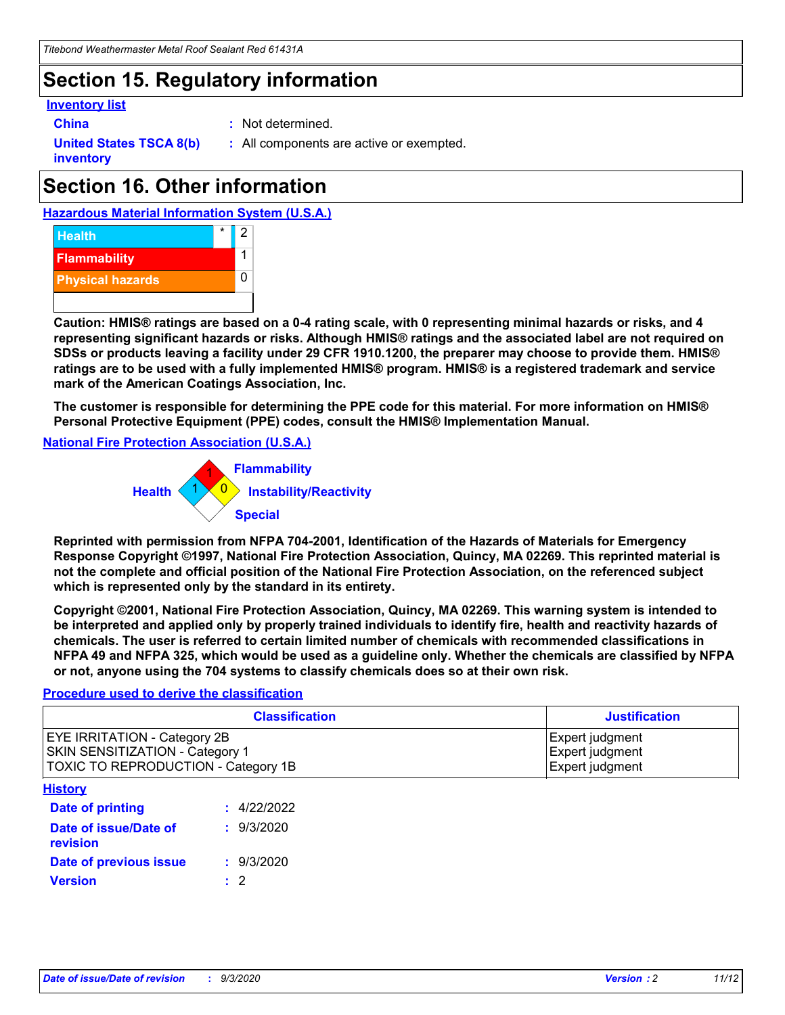### **Section 15. Regulatory information**

#### **Inventory list**

- 
- **China :** Not determined.

**United States TSCA 8(b) inventory**

**:** All components are active or exempted.

# **Section 16. Other information**





**Caution: HMIS® ratings are based on a 0-4 rating scale, with 0 representing minimal hazards or risks, and 4 representing significant hazards or risks. Although HMIS® ratings and the associated label are not required on SDSs or products leaving a facility under 29 CFR 1910.1200, the preparer may choose to provide them. HMIS® ratings are to be used with a fully implemented HMIS® program. HMIS® is a registered trademark and service mark of the American Coatings Association, Inc.**

**The customer is responsible for determining the PPE code for this material. For more information on HMIS® Personal Protective Equipment (PPE) codes, consult the HMIS® Implementation Manual.**

**National Fire Protection Association (U.S.A.)**



**Reprinted with permission from NFPA 704-2001, Identification of the Hazards of Materials for Emergency Response Copyright ©1997, National Fire Protection Association, Quincy, MA 02269. This reprinted material is not the complete and official position of the National Fire Protection Association, on the referenced subject which is represented only by the standard in its entirety.**

**Copyright ©2001, National Fire Protection Association, Quincy, MA 02269. This warning system is intended to be interpreted and applied only by properly trained individuals to identify fire, health and reactivity hazards of chemicals. The user is referred to certain limited number of chemicals with recommended classifications in NFPA 49 and NFPA 325, which would be used as a guideline only. Whether the chemicals are classified by NFPA or not, anyone using the 704 systems to classify chemicals does so at their own risk.**

#### **Procedure used to derive the classification**

| <b>Classification</b>                                                                                         | <b>Justification</b>                                  |
|---------------------------------------------------------------------------------------------------------------|-------------------------------------------------------|
| <b>EYE IRRITATION - Category 2B</b><br>SKIN SENSITIZATION - Category 1<br>TOXIC TO REPRODUCTION - Category 1B | Expert judgment<br>Expert judgment<br>Expert judgment |
| <b>History</b>                                                                                                |                                                       |

| .                                 |             |
|-----------------------------------|-------------|
| <b>Date of printing</b>           | : 4/22/2022 |
| Date of issue/Date of<br>revision | : 9/3/2020  |
| Date of previous issue            | : 9/3/2020  |
| <b>Version</b>                    | $\cdot$ 2   |
|                                   |             |